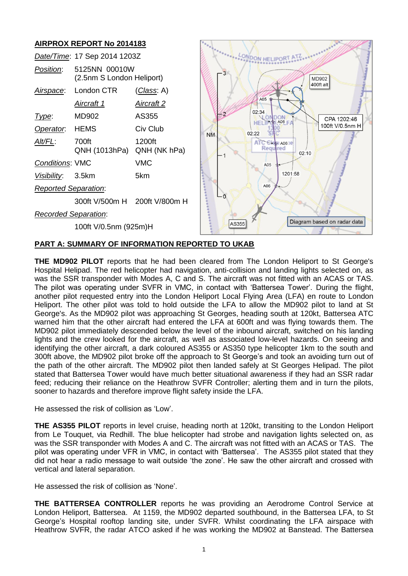

# **PART A: SUMMARY OF INFORMATION REPORTED TO UKAB**

**THE MD902 PILOT** reports that he had been cleared from The London Heliport to St George's Hospital Helipad. The red helicopter had navigation, anti-collision and landing lights selected on, as was the SSR transponder with Modes A, C and S. The aircraft was not fitted with an ACAS or TAS. The pilot was operating under SVFR in VMC, in contact with 'Battersea Tower'. During the flight, another pilot requested entry into the London Heliport Local Flying Area (LFA) en route to London Heliport. The other pilot was told to hold outside the LFA to allow the MD902 pilot to land at St George's. As the MD902 pilot was approaching St Georges, heading south at 120kt, Battersea ATC warned him that the other aircraft had entered the LFA at 600ft and was flying towards them. The MD902 pilot immediately descended below the level of the inbound aircraft, switched on his landing lights and the crew looked for the aircraft, as well as associated low-level hazards. On seeing and identifying the other aircraft, a dark coloured AS355 or AS350 type helicopter 1km to the south and 300ft above, the MD902 pilot broke off the approach to St George's and took an avoiding turn out of the path of the other aircraft. The MD902 pilot then landed safely at St Georges Helipad. The pilot stated that Battersea Tower would have much better situational awareness if they had an SSR radar feed; reducing their reliance on the Heathrow SVFR Controller; alerting them and in turn the pilots, sooner to hazards and therefore improve flight safety inside the LFA.

He assessed the risk of collision as 'Low'.

**THE AS355 PILOT** reports in level cruise, heading north at 120kt, transiting to the London Heliport from Le Touquet, via Redhill. The blue helicopter had strobe and navigation lights selected on, as was the SSR transponder with Modes A and C. The aircraft was not fitted with an ACAS or TAS. The pilot was operating under VFR in VMC, in contact with 'Battersea'. The AS355 pilot stated that they did not hear a radio message to wait outside 'the zone'. He saw the other aircraft and crossed with vertical and lateral separation.

He assessed the risk of collision as 'None'.

**THE BATTERSEA CONTROLLER** reports he was providing an Aerodrome Control Service at London Heliport, Battersea. At 1159, the MD902 departed southbound, in the Battersea LFA, to St George's Hospital rooftop landing site, under SVFR. Whilst coordinating the LFA airspace with Heathrow SVFR, the radar ATCO asked if he was working the MD902 at Banstead. The Battersea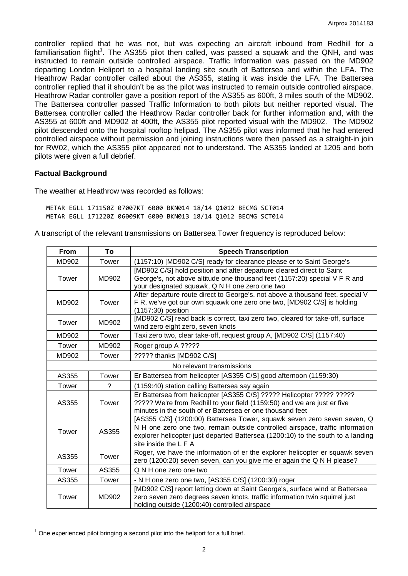controller replied that he was not, but was expecting an aircraft inbound from Redhill for a familiarisation flight<sup>1</sup>. The AS355 pilot then called, was passed a squawk and the QNH, and was instructed to remain outside controlled airspace. Traffic Information was passed on the MD902 departing London Heliport to a hospital landing site south of Battersea and within the LFA. The Heathrow Radar controller called about the AS355, stating it was inside the LFA. The Battersea controller replied that it shouldn't be as the pilot was instructed to remain outside controlled airspace. Heathrow Radar controller gave a position report of the AS355 as 600ft, 3 miles south of the MD902. The Battersea controller passed Traffic Information to both pilots but neither reported visual. The Battersea controller called the Heathrow Radar controller back for further information and, with the AS355 at 600ft and MD902 at 400ft, the AS355 pilot reported visual with the MD902. The MD902 pilot descended onto the hospital rooftop helipad. The AS355 pilot was informed that he had entered controlled airspace without permission and joining instructions were then passed as a straight-in join for RW02, which the AS355 pilot appeared not to understand. The AS355 landed at 1205 and both pilots were given a full debrief.

### **Factual Background**

The weather at Heathrow was recorded as follows:

METAR EGLL 171150Z 07007KT 6000 BKN014 18/14 Q1012 BECMG SCT014 METAR EGLL 171220Z 06009KT 6000 BKN013 18/14 Q1012 BECMG SCT014

A transcript of the relevant transmissions on Battersea Tower frequency is reproduced below:

| <b>From</b>               | To    | <b>Speech Transcription</b>                                                                                                                                                                                                                                          |  |  |
|---------------------------|-------|----------------------------------------------------------------------------------------------------------------------------------------------------------------------------------------------------------------------------------------------------------------------|--|--|
| MD902                     | Tower | (1157:10) [MD902 C/S] ready for clearance please er to Saint George's                                                                                                                                                                                                |  |  |
| Tower                     | MD902 | [MD902 C/S] hold position and after departure cleared direct to Saint<br>George's, not above altitude one thousand feet (1157:20) special V F R and<br>your designated squawk, Q N H one zero one two                                                                |  |  |
| MD902                     | Tower | After departure route direct to George's, not above a thousand feet, special V<br>F R, we've got our own squawk one zero one two, [MD902 C/S] is holding<br>(1157:30) position                                                                                       |  |  |
| Tower                     | MD902 | [MD902 C/S] read back is correct, taxi zero two, cleared for take-off, surface<br>wind zero eight zero, seven knots                                                                                                                                                  |  |  |
| MD902                     | Tower | Taxi zero two, clear take-off, request group A, [MD902 C/S] (1157:40)                                                                                                                                                                                                |  |  |
| Tower                     | MD902 | Roger group A ?????                                                                                                                                                                                                                                                  |  |  |
| MD902                     | Tower | ????? thanks [MD902 C/S]                                                                                                                                                                                                                                             |  |  |
| No relevant transmissions |       |                                                                                                                                                                                                                                                                      |  |  |
| AS355                     | Tower | Er Battersea from helicopter [AS355 C/S] good afternoon (1159:30)                                                                                                                                                                                                    |  |  |
| Tower                     | ?     | (1159:40) station calling Battersea say again                                                                                                                                                                                                                        |  |  |
| AS355                     | Tower | Er Battersea from helicopter [AS355 C/S] ????? Helicopter ????? ?????<br>????? We're from Redhill to your field (1159:50) and we are just er five<br>minutes in the south of er Battersea er one thousand feet                                                       |  |  |
| Tower                     | AS355 | [AS355 C/S] (1200:00) Battersea Tower, squawk seven zero seven seven, Q<br>N H one zero one two, remain outside controlled airspace, traffic information<br>explorer helicopter just departed Battersea (1200:10) to the south to a landing<br>site inside the L F A |  |  |
| AS355                     | Tower | Roger, we have the information of er the explorer helicopter er squawk seven<br>zero (1200:20) seven seven, can you give me er again the Q N H please?                                                                                                               |  |  |
| Tower                     | AS355 | Q N H one zero one two                                                                                                                                                                                                                                               |  |  |
| AS355                     | Tower | - N H one zero one two, [AS355 C/S] (1200:30) roger                                                                                                                                                                                                                  |  |  |
| Tower                     | MD902 | [MD902 C/S] report letting down at Saint George's, surface wind at Battersea<br>zero seven zero degrees seven knots, traffic information twin squirrel just<br>holding outside (1200:40) controlled airspace                                                         |  |  |

 $1$  One experienced pilot bringing a second pilot into the heliport for a full brief.

 $\overline{a}$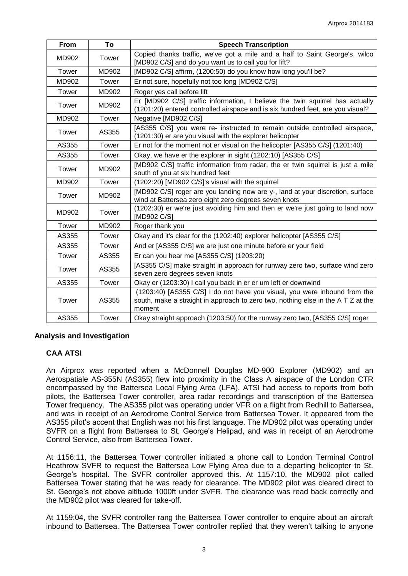| From  | To    | <b>Speech Transcription</b>                                                                                                                                             |
|-------|-------|-------------------------------------------------------------------------------------------------------------------------------------------------------------------------|
| MD902 | Tower | Copied thanks traffic, we've got a mile and a half to Saint George's, wilco<br>[MD902 C/S] and do you want us to call you for lift?                                     |
| Tower | MD902 | [MD902 C/S] affirm, (1200:50) do you know how long you'll be?                                                                                                           |
| MD902 | Tower | Er not sure, hopefully not too long [MD902 C/S]                                                                                                                         |
| Tower | MD902 | Roger yes call before lift                                                                                                                                              |
| Tower | MD902 | Er [MD902 C/S] traffic information, I believe the twin squirrel has actually<br>(1201:20) entered controlled airspace and is six hundred feet, are you visual?          |
| MD902 | Tower | Negative [MD902 C/S]                                                                                                                                                    |
| Tower | AS355 | [AS355 C/S] you were re- instructed to remain outside controlled airspace,<br>(1201:30) er are you visual with the explorer helicopter                                  |
| AS355 | Tower | Er not for the moment not er visual on the helicopter [AS355 C/S] (1201:40)                                                                                             |
| AS355 | Tower | Okay, we have er the explorer in sight (1202:10) [AS355 C/S]                                                                                                            |
| Tower | MD902 | [MD902 C/S] traffic information from radar, the er twin squirrel is just a mile<br>south of you at six hundred feet                                                     |
| MD902 | Tower | (1202:20) [MD902 C/S]'s visual with the squirrel                                                                                                                        |
| Tower | MD902 | [MD902 C/S] roger are you landing now are y-, land at your discretion, surface<br>wind at Battersea zero eight zero degrees seven knots                                 |
| MD902 | Tower | (1202:30) er we're just avoiding him and then er we're just going to land now<br>[MD902 C/S]                                                                            |
| Tower | MD902 | Roger thank you                                                                                                                                                         |
| AS355 | Tower | Okay and it's clear for the (1202:40) explorer helicopter [AS355 C/S]                                                                                                   |
| AS355 | Tower | And er [AS355 C/S] we are just one minute before er your field                                                                                                          |
| Tower | AS355 | Er can you hear me [AS355 C/S] (1203:20)                                                                                                                                |
| Tower | AS355 | [AS355 C/S] make straight in approach for runway zero two, surface wind zero<br>seven zero degrees seven knots                                                          |
| AS355 | Tower | Okay er (1203:30) I call you back in er er um left er downwind                                                                                                          |
| Tower | AS355 | (1203:40) [AS355 C/S] I do not have you visual, you were inbound from the<br>south, make a straight in approach to zero two, nothing else in the A T Z at the<br>moment |
| AS355 | Tower | Okay straight approach (1203:50) for the runway zero two, [AS355 C/S] roger                                                                                             |

# **Analysis and Investigation**

# **CAA ATSI**

An Airprox was reported when a McDonnell Douglas MD-900 Explorer (MD902) and an Aerospatiale AS-355N (AS355) flew into proximity in the Class A airspace of the London CTR encompassed by the Battersea Local Flying Area (LFA). ATSI had access to reports from both pilots, the Battersea Tower controller, area radar recordings and transcription of the Battersea Tower frequency. The AS355 pilot was operating under VFR on a flight from Redhill to Battersea, and was in receipt of an Aerodrome Control Service from Battersea Tower. It appeared from the AS355 pilot's accent that English was not his first language. The MD902 pilot was operating under SVFR on a flight from Battersea to St. George's Helipad, and was in receipt of an Aerodrome Control Service, also from Battersea Tower.

At 1156:11, the Battersea Tower controller initiated a phone call to London Terminal Control Heathrow SVFR to request the Battersea Low Flying Area due to a departing helicopter to St. George's hospital. The SVFR controller approved this. At 1157:10, the MD902 pilot called Battersea Tower stating that he was ready for clearance. The MD902 pilot was cleared direct to St. George's not above altitude 1000ft under SVFR. The clearance was read back correctly and the MD902 pilot was cleared for take-off.

At 1159:04, the SVFR controller rang the Battersea Tower controller to enquire about an aircraft inbound to Battersea. The Battersea Tower controller replied that they weren't talking to anyone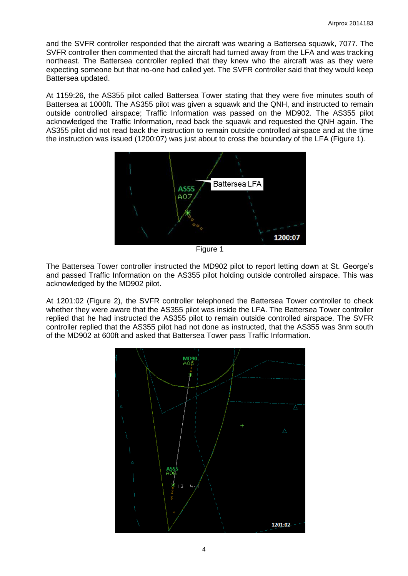and the SVFR controller responded that the aircraft was wearing a Battersea squawk, 7077. The SVFR controller then commented that the aircraft had turned away from the LFA and was tracking northeast. The Battersea controller replied that they knew who the aircraft was as they were expecting someone but that no-one had called yet. The SVFR controller said that they would keep Battersea updated.

At 1159:26, the AS355 pilot called Battersea Tower stating that they were five minutes south of Battersea at 1000ft. The AS355 pilot was given a squawk and the QNH, and instructed to remain outside controlled airspace; Traffic Information was passed on the MD902. The AS355 pilot acknowledged the Traffic Information, read back the squawk and requested the QNH again. The AS355 pilot did not read back the instruction to remain outside controlled airspace and at the time the instruction was issued (1200:07) was just about to cross the boundary of the LFA (Figure 1).



Figure 1

The Battersea Tower controller instructed the MD902 pilot to report letting down at St. George's and passed Traffic Information on the AS355 pilot holding outside controlled airspace. This was acknowledged by the MD902 pilot.

At 1201:02 (Figure 2), the SVFR controller telephoned the Battersea Tower controller to check whether they were aware that the AS355 pilot was inside the LFA. The Battersea Tower controller replied that he had instructed the AS355 pilot to remain outside controlled airspace. The SVFR controller replied that the AS355 pilot had not done as instructed, that the AS355 was 3nm south of the MD902 at 600ft and asked that Battersea Tower pass Traffic Information.

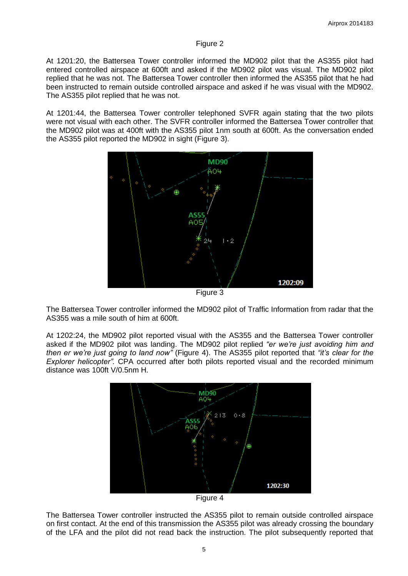#### Figure 2

At 1201:20, the Battersea Tower controller informed the MD902 pilot that the AS355 pilot had entered controlled airspace at 600ft and asked if the MD902 pilot was visual. The MD902 pilot replied that he was not. The Battersea Tower controller then informed the AS355 pilot that he had been instructed to remain outside controlled airspace and asked if he was visual with the MD902. The AS355 pilot replied that he was not.

At 1201:44, the Battersea Tower controller telephoned SVFR again stating that the two pilots were not visual with each other. The SVFR controller informed the Battersea Tower controller that the MD902 pilot was at 400ft with the AS355 pilot 1nm south at 600ft. As the conversation ended the AS355 pilot reported the MD902 in sight (Figure 3).



The Battersea Tower controller informed the MD902 pilot of Traffic Information from radar that the AS355 was a mile south of him at 600ft.

At 1202:24, the MD902 pilot reported visual with the AS355 and the Battersea Tower controller asked if the MD902 pilot was landing. The MD902 pilot replied *"er we're just avoiding him and then er we're just going to land now"* (Figure 4). The AS355 pilot reported that *"it's clear for the Explorer helicopter".* CPA occurred after both pilots reported visual and the recorded minimum distance was 100ft V/0.5nm H.



Figure 4

The Battersea Tower controller instructed the AS355 pilot to remain outside controlled airspace on first contact. At the end of this transmission the AS355 pilot was already crossing the boundary of the LFA and the pilot did not read back the instruction. The pilot subsequently reported that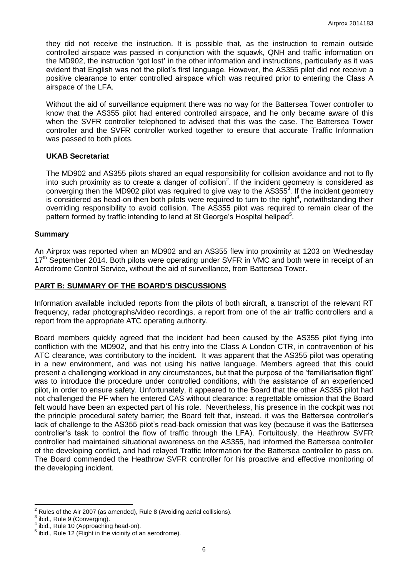they did not receive the instruction. It is possible that, as the instruction to remain outside controlled airspace was passed in conjunction with the squawk, QNH and traffic information on the MD902, the instruction **'**got lost**'** in the other information and instructions, particularly as it was evident that English was not the pilot's first language. However, the AS355 pilot did not receive a positive clearance to enter controlled airspace which was required prior to entering the Class A airspace of the LFA.

Without the aid of surveillance equipment there was no way for the Battersea Tower controller to know that the AS355 pilot had entered controlled airspace, and he only became aware of this when the SVFR controller telephoned to advised that this was the case. The Battersea Tower controller and the SVFR controller worked together to ensure that accurate Traffic Information was passed to both pilots.

### **UKAB Secretariat**

The MD902 and AS355 pilots shared an equal responsibility for collision avoidance and not to fly into such proximity as to create a danger of collision<sup>2</sup>. If the incident geometry is considered as converging then the MD902 pilot was required to give way to the  $AS355<sup>3</sup>$ . If the incident geometry is considered as head-on then both pilots were required to turn to the right<sup>4</sup>, notwithstanding their overriding responsibility to avoid collision. The AS355 pilot was required to remain clear of the pattern formed by traffic intending to land at St George's Hospital helipad<sup>5</sup>.

### **Summary**

An Airprox was reported when an MD902 and an AS355 flew into proximity at 1203 on Wednesday 17<sup>th</sup> September 2014. Both pilots were operating under SVFR in VMC and both were in receipt of an Aerodrome Control Service, without the aid of surveillance, from Battersea Tower.

# **PART B: SUMMARY OF THE BOARD'S DISCUSSIONS**

Information available included reports from the pilots of both aircraft, a transcript of the relevant RT frequency, radar photographs/video recordings, a report from one of the air traffic controllers and a report from the appropriate ATC operating authority.

Board members quickly agreed that the incident had been caused by the AS355 pilot flying into confliction with the MD902, and that his entry into the Class A London CTR, in contravention of his ATC clearance, was contributory to the incident. It was apparent that the AS355 pilot was operating in a new environment, and was not using his native language. Members agreed that this could present a challenging workload in any circumstances, but that the purpose of the 'familiarisation flight' was to introduce the procedure under controlled conditions, with the assistance of an experienced pilot, in order to ensure safety. Unfortunately, it appeared to the Board that the other AS355 pilot had not challenged the PF when he entered CAS without clearance: a regrettable omission that the Board felt would have been an expected part of his role. Nevertheless, his presence in the cockpit was not the principle procedural safety barrier; the Board felt that, instead, it was the Battersea controller's lack of challenge to the AS355 pilot's read-back omission that was key (because it was the Battersea controller's task to control the flow of traffic through the LFA). Fortuitously, the Heathrow SVFR controller had maintained situational awareness on the AS355, had informed the Battersea controller of the developing conflict, and had relayed Traffic Information for the Battersea controller to pass on. The Board commended the Heathrow SVFR controller for his proactive and effective monitoring of the developing incident.

 $\frac{2}{3}$  Rules of the Air 2007 (as amended), Rule 8 (Avoiding aerial collisions).

 $^3$  ibid., Rule 9 (Converging).

ibid., Rule 10 (Approaching head-on).

 $<sup>5</sup>$  ibid., Rule 12 (Flight in the vicinity of an aerodrome).</sup>